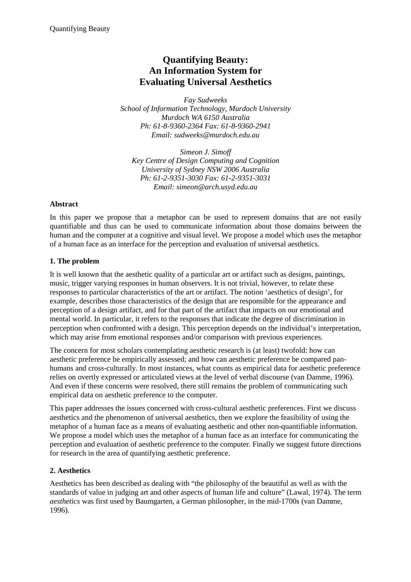# **Quantifying Beauty: An Information System for Evaluating Universal Aesthetics**

*Fay Sudweeks School of Information Technology, Murdoch University Murdoch WA 6150 Australia Ph: 61-8-9360-2364 Fax: 61-8-9360-2941 Email: sudweeks@murdoch.edu.au* 

*Simeon J. Simoff Key Centre of Design Computing and Cognition University of Sydney NSW 2006 Australia Ph: 61-2-9351-3030 Fax: 61-2-9351-3031 Email: simeon@arch.usyd.edu.au* 

#### **Abstract**

In this paper we propose that a metaphor can be used to represent domains that are not easily quantifiable and thus can be used to communicate information about those domains between the human and the computer at a cognitive and visual level. We propose a model which uses the metaphor of a human face as an interface for the perception and evaluation of universal aesthetics.

# **1. The problem**

It is well known that the aesthetic quality of a particular art or artifact such as designs, paintings, music, trigger varying responses in human observers. It is not trivial, however, to relate these responses to particular characteristics of the art or artifact. The notion 'aesthetics of design', for example, describes those characteristics of the design that are responsible for the appearance and perception of a design artifact, and for that part of the artifact that impacts on our emotional and mental world. In particular, it refers to the responses that indicate the degree of discrimination in perception when confronted with a design. This perception depends on the individual's interpretation, which may arise from emotional responses and/or comparison with previous experiences.

The concern for most scholars contemplating aesthetic research is (at least) twofold: how can aesthetic preference be empirically assessed; and how can aesthetic preference be compared panhumans and cross-culturally. In most instances, what counts as empirical data for aesthetic preference relies on overtly expressed or articulated views at the level of verbal discourse (van Damme, 1996). And even if these concerns were resolved, there still remains the problem of communicating such empirical data on aesthetic preference to the computer.

This paper addresses the issues concerned with cross-cultural aesthetic preferences. First we discuss aesthetics and the phenomenon of universal aesthetics, then we explore the feasibility of using the metaphor of a human face as a means of evaluating aesthetic and other non-quantifiable information. We propose a model which uses the metaphor of a human face as an interface for communicating the perception and evaluation of aesthetic preference to the computer. Finally we suggest future directions for research in the area of quantifying aesthetic preference.

# **2. Aesthetics**

Aesthetics has been described as dealing with "the philosophy of the beautiful as well as with the standards of value in judging art and other aspects of human life and culture" (Lawal, 1974). The term *aesthetics* was first used by Baumgarten, a German philosopher, in the mid-1700s (van Damme, 1996).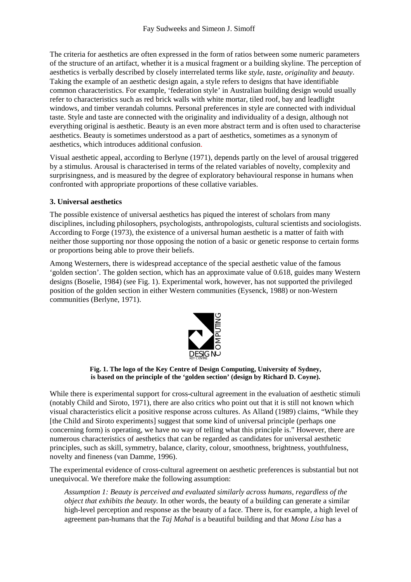The criteria for aesthetics are often expressed in the form of ratios between some numeric parameters of the structure of an artifact, whether it is a musical fragment or a building skyline. The perception of aesthetics is verbally described by closely interrelated terms like *style*, *taste*, *originality* and *beauty*. Taking the example of an aesthetic design again, a style refers to designs that have identifiable common characteristics. For example, 'federation style' in Australian building design would usually refer to characteristics such as red brick walls with white mortar, tiled roof, bay and leadlight windows, and timber verandah columns. Personal preferences in style are connected with individual taste. Style and taste are connected with the originality and individuality of a design, although not everything original is aesthetic. Beauty is an even more abstract term and is often used to characterise aesthetics. Beauty is sometimes understood as a part of aesthetics, sometimes as a synonym of aesthetics, which introduces additional confusion.

Visual aesthetic appeal, according to Berlyne (1971), depends partly on the level of arousal triggered by a stimulus. Arousal is characterised in terms of the related variables of novelty, complexity and surprisingness, and is measured by the degree of exploratory behavioural response in humans when confronted with appropriate proportions of these collative variables.

#### **3. Universal aesthetics**

The possible existence of universal aesthetics has piqued the interest of scholars from many disciplines, including philosophers, psychologists, anthropologists, cultural scientists and sociologists. According to Forge (1973), the existence of a universal human aesthetic is a matter of faith with neither those supporting nor those opposing the notion of a basic or genetic response to certain forms or proportions being able to prove their beliefs.

Among Westerners, there is widespread acceptance of the special aesthetic value of the famous 'golden section'. The golden section, which has an approximate value of 0.618, guides many Western designs (Boselie, 1984) (see Fig. 1). Experimental work, however, has not supported the privileged position of the golden section in either Western communities (Eysenck, 1988) or non-Western communities (Berlyne, 1971).



**Fig. 1. The logo of the Key Centre of Design Computing, University of Sydney, is based on the principle of the 'golden section' (design by Richard D. Coyne).** 

While there is experimental support for cross-cultural agreement in the evaluation of aesthetic stimuli (notably Child and Siroto, 1971), there are also critics who point out that it is still not known which visual characteristics elicit a positive response across cultures. As Alland (1989) claims, "While they [the Child and Siroto experiments] suggest that some kind of universal principle (perhaps one concerning form) is operating, we have no way of telling what this principle is." However, there are numerous characteristics of aesthetics that can be regarded as candidates for universal aesthetic principles, such as skill, symmetry, balance, clarity, colour, smoothness, brightness, youthfulness, novelty and fineness (van Damme, 1996).

The experimental evidence of cross-cultural agreement on aesthetic preferences is substantial but not unequivocal. We therefore make the following assumption:

*Assumption 1: Beauty is perceived and evaluated similarly across humans, regardless of the object that exhibits the beauty.* In other words, the beauty of a building can generate a similar high-level perception and response as the beauty of a face. There is, for example, a high level of agreement pan-humans that the *Taj Mahal* is a beautiful building and that *Mona Lisa* has a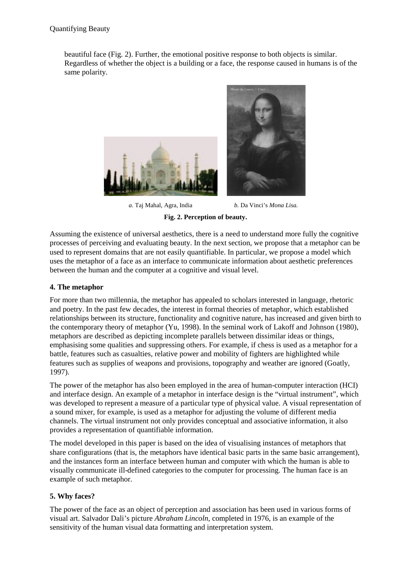beautiful face (Fig. 2). Further, the emotional positive response to both objects is similar. Regardless of whether the object is a building or a face, the response caused in humans is of the same polarity.



*a.* Taj Mahal, Agra, India *b.* Da Vinci's *Mona Lisa.*

**Fig. 2. Perception of beauty.** 

Assuming the existence of universal aesthetics, there is a need to understand more fully the cognitive processes of perceiving and evaluating beauty. In the next section, we propose that a metaphor can be used to represent domains that are not easily quantifiable. In particular, we propose a model which uses the metaphor of a face as an interface to communicate information about aesthetic preferences between the human and the computer at a cognitive and visual level.

### **4. The metaphor**

For more than two millennia, the metaphor has appealed to scholars interested in language, rhetoric and poetry. In the past few decades, the interest in formal theories of metaphor, which established relationships between its structure, functionality and cognitive nature, has increased and given birth to the contemporary theory of metaphor (Yu, 1998). In the seminal work of Lakoff and Johnson (1980), metaphors are described as depicting incomplete parallels between dissimilar ideas or things, emphasising some qualities and suppressing others. For example, if chess is used as a metaphor for a battle, features such as casualties, relative power and mobility of fighters are highlighted while features such as supplies of weapons and provisions, topography and weather are ignored (Goatly, 1997).

The power of the metaphor has also been employed in the area of human-computer interaction (HCI) and interface design. An example of a metaphor in interface design is the "virtual instrument", which was developed to represent a measure of a particular type of physical value. A visual representation of a sound mixer, for example, is used as a metaphor for adjusting the volume of different media channels. The virtual instrument not only provides conceptual and associative information, it also provides a representation of quantifiable information.

The model developed in this paper is based on the idea of visualising instances of metaphors that share configurations (that is, the metaphors have identical basic parts in the same basic arrangement), and the instances form an interface between human and computer with which the human is able to visually communicate ill-defined categories to the computer for processing. The human face is an example of such metaphor.

# **5. Why faces?**

The power of the face as an object of perception and association has been used in various forms of visual art. Salvador Dali's picture *Abraham Lincoln*, completed in 1976, is an example of the sensitivity of the human visual data formatting and interpretation system.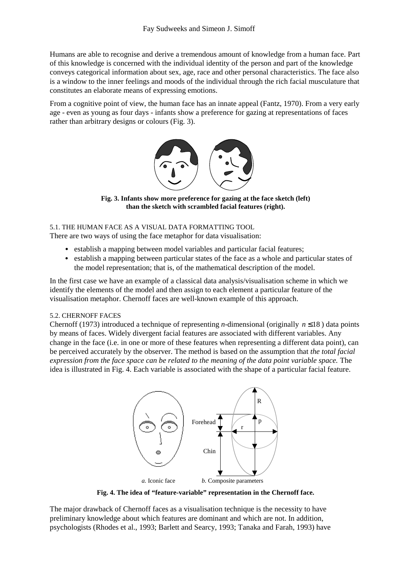Humans are able to recognise and derive a tremendous amount of knowledge from a human face. Part of this knowledge is concerned with the individual identity of the person and part of the knowledge conveys categorical information about sex, age, race and other personal characteristics. The face also is a window to the inner feelings and moods of the individual through the rich facial musculature that constitutes an elaborate means of expressing emotions.

From a cognitive point of view, the human face has an innate appeal (Fantz, 1970). From a very early age - even as young as four days - infants show a preference for gazing at representations of faces rather than arbitrary designs or colours (Fig. 3).



**Fig. 3. Infants show more preference for gazing at the face sketch (left) than the sketch with scrambled facial features (right).** 

#### 5.1. THE HUMAN FACE AS A VISUAL DATA FORMATTING TOOL

There are two ways of using the face metaphor for data visualisation:

- establish a mapping between model variables and particular facial features;
- establish a mapping between particular states of the face as a whole and particular states of the model representation; that is, of the mathematical description of the model.

In the first case we have an example of a classical data analysis/visualisation scheme in which we identify the elements of the model and then assign to each element a particular feature of the visualisation metaphor. Chernoff faces are well-known example of this approach.

#### 5.2. CHERNOFF FACES

Chernoff (1973) introduced a technique of representing *n*-dimensional (originally *n* ≤18 ) data points by means of faces. Widely divergent facial features are associated with different variables. Any change in the face (i.e. in one or more of these features when representing a different data point), can be perceived accurately by the observer. The method is based on the assumption that *the total facial expression from the face space can be related to the meaning of the data point variable space.* The idea is illustrated in Fig. 4. Each variable is associated with the shape of a particular facial feature.



**Fig. 4. The idea of "feature-variable" representation in the Chernoff face.** 

The major drawback of Chernoff faces as a visualisation technique is the necessity to have preliminary knowledge about which features are dominant and which are not. In addition, psychologists (Rhodes et al., 1993; Barlett and Searcy, 1993; Tanaka and Farah, 1993) have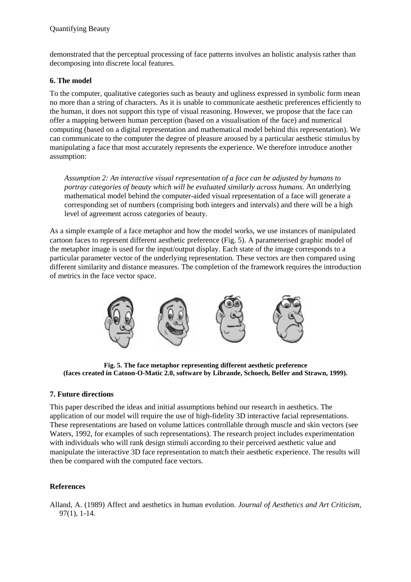demonstrated that the perceptual processing of face patterns involves an holistic analysis rather than decomposing into discrete local features.

#### **6. The model**

To the computer, qualitative categories such as beauty and ugliness expressed in symbolic form mean no more than a string of characters. As it is unable to communicate aesthetic preferences efficiently to the human, it does not support this type of visual reasoning. However, we propose that the face can offer a mapping between human perception (based on a visualisation of the face) and numerical computing (based on a digital representation and mathematical model behind this representation). We can communicate to the computer the degree of pleasure aroused by a particular aesthetic stimulus by manipulating a face that most accurately represents the experience. We therefore introduce another assumption:

*Assumption 2: An interactive visual representation of a face can be adjusted by humans to portray categories of beauty which will be evaluated similarly across humans.* An underlying mathematical model behind the computer-aided visual representation of a face will generate a corresponding set of numbers (comprising both integers and intervals) and there will be a high level of agreement across categories of beauty.

As a simple example of a face metaphor and how the model works, we use instances of manipulated cartoon faces to represent different aesthetic preference (Fig. 5). A parameterised graphic model of the metaphor image is used for the input/output display. Each state of the image corresponds to a particular parameter vector of the underlying representation. These vectors are then compared using different similarity and distance measures. The completion of the framework requires the introduction of metrics in the face vector space.



**Fig. 5. The face metaphor representing different aesthetic preference (faces created in Catoon-O-Matic 2.0, software by Librande, Schoech, Belfer and Strawn, 1999).** 

# **7. Future directions**

This paper described the ideas and initial assumptions behind our research in aesthetics. The application of our model will require the use of high-fidelity 3D interactive facial representations. These representations are based on volume lattices controllable through muscle and skin vectors (see Waters, 1992, for examples of such representations). The research project includes experimentation with individuals who will rank design stimuli according to their perceived aesthetic value and manipulate the interactive 3D face representation to match their aesthetic experience. The results will then be compared with the computed face vectors.

# **References**

Alland, A. (1989) Affect and aesthetics in human evolution. *Journal of Aesthetics and Art Criticism*, 97(1), 1-14.